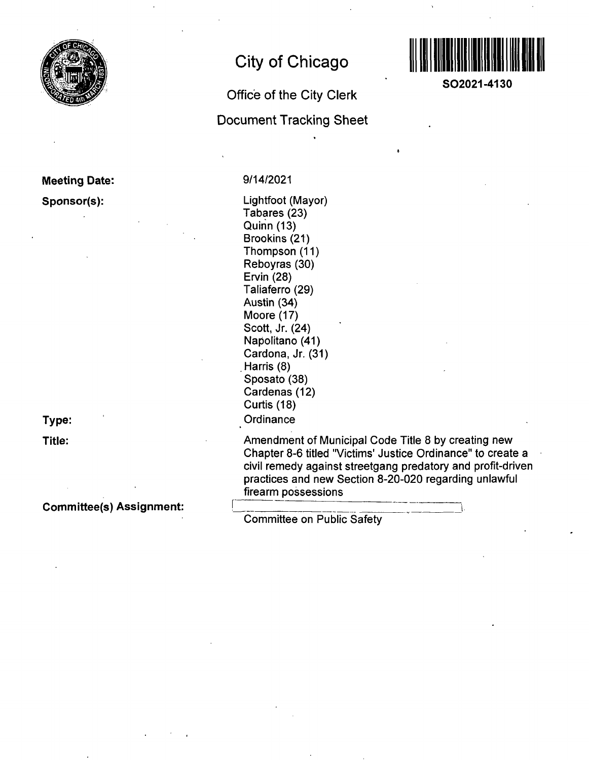

## **Meeting Date:**

### **Sponsor(s):**

**Type:** 

**Title:** 

## **Committee(s) Assignment:**

# **City of Chicago**

# **Office of the City Clerk Document Tracking Sheet**



Lightfoot (Mayor) Tabares (23) Quinn (13) Brookins (21) Thompson (11) Reboyras (30) Ervin (28) Taliaferro (29) Austin (34) Moore (17) Scott, Jr. (24) Napolitano (41) Cardona, Jr. (31) Harris (8) Sposato (38) Cardenas (12) Curtis (18) **Ordinance** 

Amendment of Municipal Code Title 8 by creating new Chapter 8-6 titled "Victims' Justice Ordinance" to create a civil remedy against streetgang predatory and profit-driven practices and new Section 8-20-020 regarding unlawful firearm possessions

Committee on Public Safety



**SO2021-4130**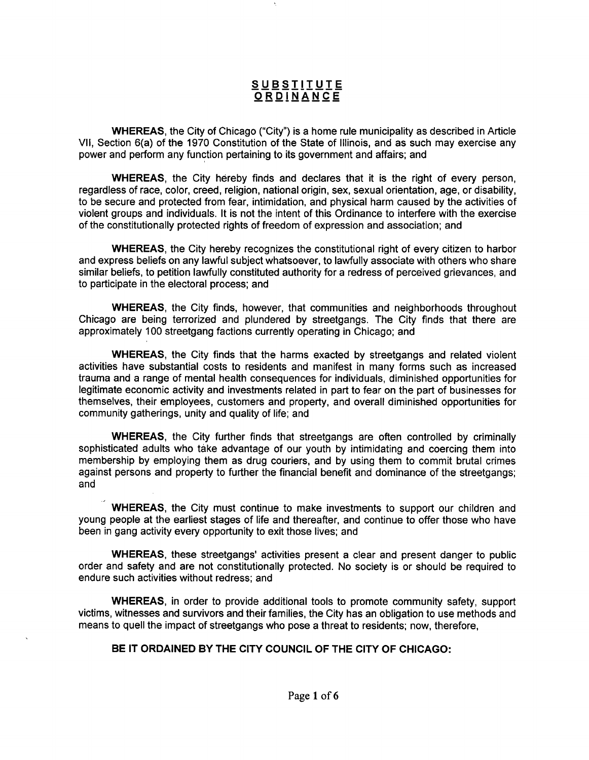## **s u Bsiiiyi i ORDIN'ANC E**

WHEREAS, the City of Chicago ("City") is a home rule municipality as described in Article VII, Section 6(a) of the 1970 Constitution of the State of Illinois, and as such may exercise any power and perform any function pertaining to its government and affairs; and

WHEREAS, the City hereby finds and declares that it is the right of every person, regardless of race, color, creed, religion, national origin, sex, sexual orientation, age, or disability, to be secure and protected from fear, intimidation, and physical harm caused by the activities of violent groups and individuals. It is not the intent of this Ordinance to interfere with the exercise ofthe constitutionally protected rights of freedom of expression and association; and

WHEREAS, the City hereby recognizes the constitutional right of every citizen to harbor and express beliefs on any lawful subject whatsoever, to lawfully associate with others who share similar beliefs, to petition lawfully constituted authority for a redress of perceived grievances, and to participate in the electoral process; and

WHEREAS, the City finds, however, that communities and neighborhoods throughout Chicago are being terrorized and plundered by streetgangs. The City finds that there are approximately 100 streetgang factions currently operating in Chicago; and

WHEREAS, the City finds that the harms exacted by streetgangs and related violent activities have substantial costs to residents and manifest in many forms such as increased trauma and a range of mental health consequences for individuals, diminished opportunities for legitimate economic activity and investments related in part to fear on the part of businesses for themselves, their employees, customers and property, and overall diminished opportunities for community gatherings, unity and quality of life; and

WHEREAS, the City further finds that streetgangs are often controlled by criminally sophisticated adults who take advantage of our youth by intimidating and coercing them into membership by employing them as drug couriers, and by using them to commit brutal crimes against persons and property to further the financial benefit and dominance of the streetgangs; and

WHEREAS, the City must continue to make investments to support our children and young people at the earliest stages of life and thereafter, and continue to offer those who have been in gang activity every opportunity to exit those lives; and

WHEREAS, these streetgangs' activities present a clear and present danger to public order and safety and are not constitutionally protected. No society is or should be required to endure such activities without redress; and

WHEREAS, in order to provide additional tools to promote community safety, support victims, witnesses and survivors and their families, the City has an obligation to use methods and means to quell the impact of streetgangs who pose a threat to residents; now, therefore,

### **BE IT ORDAINED BY THE CITY COUNCIL OF THE CITY OF CHICAGO:**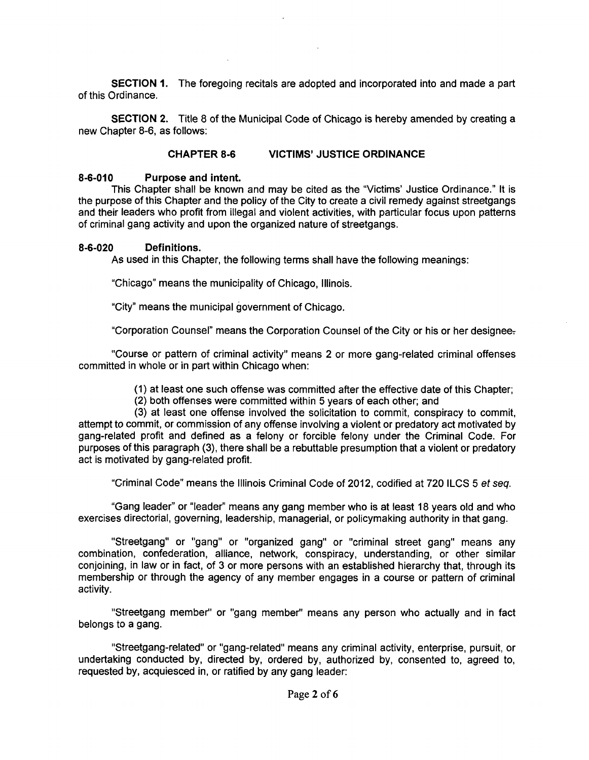SECTION 1. The foregoing recitals are adopted and incorporated into and made a part of this Ordinance.

SECTION 2. Title 8 of the Municipal Code of Chicago is hereby amended by creating a new Chapter 8-6, as follows:

### **CHAPTER 8-6 VICTIMS' JUSTICE ORDINANCE**

#### **8-6-010 Purpose and intent.**

This Chapter shall be known and may be cited as the "Victims' Justice Ordinance." It is the purpose of this Chapter and the policy of the City to create a civil remedy against streetgangs and their leaders who profit from illegal and violent activities, with particular focus upon patterns of criminal gang activity and upon the organized nature of streetgangs.

#### **8-6-020 Definitions.**

As used in this Chapter, the following terms shall have the following meanings: As used in this Chapter, the following terms shall have the following meanings:

"Chicago" means the municipality of Chicago, Illinois. "Chicago" means the municipality of Chicago, Illinois.

"City" means the municipal government of Chicago.

"Corporation Counsel" means the Corporation Counsel ofthe City or his or her designeov

"Course or pattern of criminal activity" means 2 or more gang-related criminal offenses committed in whole or in part within Chicago when:

(1) at least one such offense was committed after the effective date of this Chapter;

(2) both offenses were committed within 5 years of each other; and

(3) at least one offense involved the solicitation to commit, conspiracy to commit, attempt to commit, or commission of any offense involving a violent or predatory act motivated by gang-related profit and defined as a felony or forcible felony under the Criminal Code. For purposes of this paragraph (3), there shall be a rebuttable presumption that a violent or predatory act is motivated by gang-related profit.

"Criminal Code" means the Illinois Criminal Code of 2012, codified at 720 ILCS 5 et seq.

"Gang leader" or "leader" means any gang member who is at least 18 years old and who exercises directorial, governing, leadership, managerial, or policymaking authority in that gang.

"Streetgang" or "gang" or "organized gang" or "criminal street gang" means any combination, confederation, alliance, network, conspiracy, understanding, or other similar conjoining, in law or in fact, of 3 or more persons with an established hierarchy that, through its membership or through the agency of any member engages in a course or pattern of criminal activity.

"Streetgang member" or "gang member" means any person who actually and in fact belongs to a gang.

"Streetgang-related" or "gang-related" means any criminal activity, enterprise, pursuit, or undertaking conducted by, directed by, ordered by, authorized by, consented to, agreed to, requested by, acquiesced in, or ratified by any gang leader: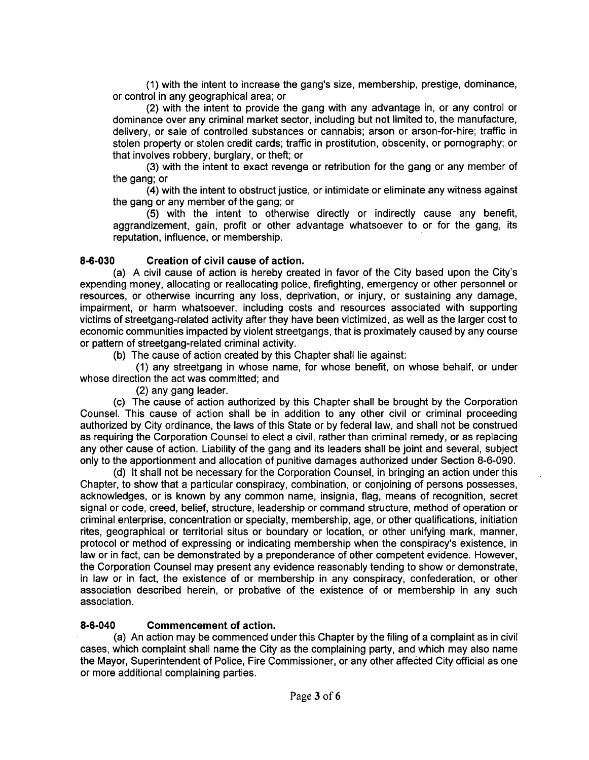(1) with the intent to increase the gang's size, membership, prestige, dominance, or control in any geographical area; or

(2) with the intent to provide the gang with any advantage in, or any control or dominance over any criminal market sector, including but not limited to, the manufacture, delivery, or sale of controlled substances or cannabis; arson or arson-for-hire; traffic in stolen property or stolen credit cards; traffic in prostitution, obscenity, or pornography; or that involves robbery, burglary, or theft; or

(3) with the intent to exact revenge or retribution for the gang or any member of the gang; or

(4) with the intent to obstruct justice, or intimidate or eliminate any witness against the gang or any member of the gang; or

(5) with the intent to othenwise directly or indirectly cause any benefit, aggrandizement, gain, profit or other advantage whatsoever to or for the gang, its reputation, influence, or membership.

## **8-6-030 Creation of civil cause of action.**

(a) A civil cause of action is hereby created in favor of the City based upon the City's expending money, allocating or reallocating police, firefighting, emergency or other personnel or resources, or otherwise incurring any loss, deprivation, or injury, or sustaining any damage, impairment, or harm whatsoever, including costs and resources associated with supporting victims of streetgang-related activity after they have been victimized, as well as the larger cost to economic communities impacted by violent streetgangs, that is proximately caused by any course or pattern of streetgang-related criminal activity.

(b) The cause of action created by this Chapter shall lie against:

(1) any streetgang in whose name, for whose benefit, on whose behalf, or under whose direction the act was committed; and

(2) any gang leader.

(c) The cause of action authorized by this Chapter shall be brought by the Corporation Counsel. This cause of action shall be in addition to any other civil or criminal proceeding authorized by City ordinance, the laws of this State or by federal law, and shall not be construed as requiring the Corporation Counsel to elect a civil, rather than criminal remedy, or as replacing any other cause of action. Liability of the gang and its leaders shall be joint and several, subject only to the apportionment and allocation of punitive damages authorized under Section 8-6-090.

(d) It shall not be necessary forthe Corporation Counsel, in bringing an action under this Chapter, to show that a particular conspiracy, combination, or conjoining of persons possesses, acknowledges, or is known by any common name, insignia, flag, means of recognition, secret signal or code, creed, belief, structure, leadership or command structure, method of operation or criminal enterprise, concentration or specialty, membership, age, or other qualifications, initiation rites, geographical or territorial situs or boundary or location, or other unifying mark, manner, protocol or method of expressing or indicating membership when the conspiracy's existence, in law or in fact, can be demonstrated by a preponderance of other competent evidence. However, the Corporation Counsel may present any evidence reasonably tending to show or demonstrate, in law or in fact, the existence of or membership in any conspiracy, confederation, or other association described herein, or probative of the existence of or membership in any such association.

## **8-6-040 Commencement of action.**

(a) An action may be commenced under this Chapter by the filing of a complaint as in civil cases, which complaint shall name the City as the complaining party, and which may also name the Mayor, Superintendent of Police, Fire Commissioner, or any other affected City official as one or more additional complaining parties.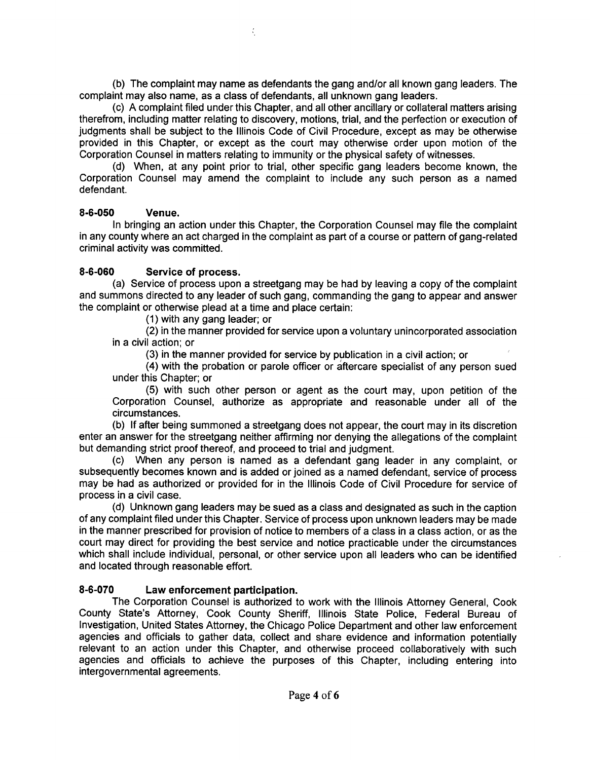(b) The complaint may name as defendants the gang and/or all known gang leaders. The complaint may also name, as a class of defendants, all unknown gang leaders.

K.

(c) A complaint filed under this Chapter, and all other ancillary or collateral matters arising therefrom, including matter relating to discovery, motions, trial, and the perfection or execution of judgments shall be subject to the Illinois Code of Civil Procedure, except as may be otherwise provided in this Chapter, or except as the court may othenwise order upon motion of the Corporation Counsel in matters relating to immunity or the physical safety of witnesses.

(d) When, at any point prior to trial, other specific gang leaders become known, the Corporation Counsel may amend the complaint to include any such person as a named defendant.

#### 8-6-050 Venue.

In bringing an action under this Chapter, the Corporation Counsel may file the complaint in any county where an act charged in the complaint as part of a course or pattern of gang-related criminal activity was committed.

### 8-6-060 Service of process.

(a) Service of process upon a streetgang may be had by leaving a copy of the complaint and summons directed to any leader of such gang, commanding the gang to appear and answer the complaint or othenwise plead at a time and place certain:

(1) with any gang leader; or

(2) in the manner provided for sen/ice upon a voluntary unincorporated association in a civil action; or

(3) in the manner provided for service by publication in a civil action; or

(4) with the probation or parole officer or aftercare specialist of any person sued under this Chapter; or

(5) with such other person or agent as the court may, upon petition of the Corporation Counsel, authorize as appropriate and reasonable under all of the circumstances.

(b) If after being summoned a streetgang does not appear, the court may in its discretion enter an answer for the streetgang neither affirming nor denying the allegations of the complaint but demanding strict proof thereof, and proceed to trial and judgment.

(c) When any person is named as a defendant gang leader in any complaint, or subsequently becomes known and is added or joined as a named defendant, service of process may be had as authorized or provided for in the Illinois Code of Civil Procedure for service of process in a civil case.

(d) Unknown gang leaders may be sued as a class and designated as such in the caption of any complaint filed under this Chapter. Service of process upon unknown leaders may be made in the manner prescribed for provision of notice to members of a class in a class action, or as the court may direct for providing the best service and notice practicable under the circumstances which shall include individual, personal, or other service upon all leaders who can be identified and located through reasonable effort.

### 8-6-070 Law enforcement participation.

The Corporation Counsel is authorized to work with the Illinois Attorney General, Cook County State's Attorney, Cook County Sheriff, Illinois State Police, Federal Bureau of Investigation, United States Attorney, the Chicago Police Department and other law enforcement agencies and officials to gather data, collect and share evidence and information potentially relevant to an action under this Chapter, and otherwise proceed collaboratively with such agencies and officials to achieve the purposes of this Chapter, including entering into intergovernmental agreements.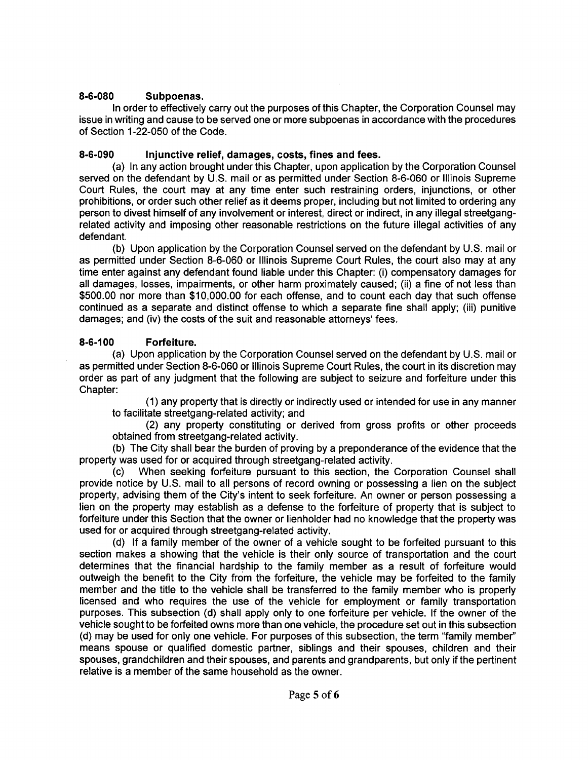### **8-6-080 Subpoenas.**

In order to effectively carry out the purposes of this Chapter, the Corporation Counsel may issue in writing and cause to be served one or more subpoenas in accordance with the procedures of Section 1-22-050 of the Code.

## **8-6-090 Injunctive relief, damages, costs, fines and fees.**

(a) In any action brought under this Chapter, upon application by the Corporation Counsel served on the defendant by U.S. mail or as permitted under Section 8-6-060 or Illinois Supreme Court Rules, the court may at any time enter such restraining orders, injunctions, or other prohibitions, or order such other relief as it deems proper, including but not limited to ordering any person to divest himself of any involvement or interest, direct or indirect, in any illegal streetgangrelated activity and imposing other reasonable restrictions on the future illegal activities of any defendant.

(b) Upon application by the Corporation Counsel served on the defendant by U.S. mail or as permitted under Section 8-6-060 or Illinois Supreme Court Rules, the court also may at any time enter against any defendant found liable under this Chapter: (i) compensatory damages for all damages, losses, impairments, or other harm proximately caused; (ii) a fine of not less than \$500.00 nor more than \$10,000.00 for each offense, and to count each day that such offense continued as a separate and distinct offense to which a separate fine shall apply; (iii) punitive damages; and (iv) the costs of the suit and reasonable attorneys' fees.

## **8-6-100 Forfeiture.**

(a) Upon application by the Corporation Counsel served on the defendant by U.S. mail or as permitted under Section 8-6-060 or Illinois Supreme Court Rules, the court in its discretion may order as part of any judgment that the following are subject to seizure and forfeiture under this Chapter:

(1) any property that is directly or indirectly used or intended for use in any manner to facilitate streetgang-related activity; and

(2) any property constituting or derived from gross profits or other proceeds obtained from streetgang-related activity.

(b) The City shall bear the burden of proving by a preponderance ofthe evidence that the property was used for or acquired through streetgang-related activity.

(c) When seeking forfeiture pursuant to this section, the Corporation Counsel shall provide notice by U.S. mail to all persons of record owning or possessing a lien on the subject property, advising them of the City's intent to seek forfeiture. An owner or person possessing a lien on the property may establish as a defense to the forfeiture of property that is subject to forfeiture under this Section that the owner or lienholder had no knowledge that the property was used for or acquired through streetgang-related activity.

(d) If a family member of the owner of a vehicle sought to be forfeited pursuant to this section makes a showing that the vehicle is their only source of transportation and the court determines that the financial hardship to the family member as a result of forfeiture would outweigh the benefit to the City from the forfeiture, the vehicle may be forfeited to the family member and the title to the vehicle shall be transferred to the family member who is properly licensed and who requires the use of the vehicle for employment or family transportation purposes. This subsection (d) shall apply only to one forfeiture per vehicle. If the owner of the vehicle sought to be forfeited owns more than one vehicle, the procedure set out in this subsection (d) may be used for only one vehicle. For purposes of this subsection, the term "family member" means spouse or qualified domestic partner, siblings and their spouses, children and their spouses, grandchildren and their spouses, and parents and grandparents, but only if the pertinent relative is a member of the same household as the owner.